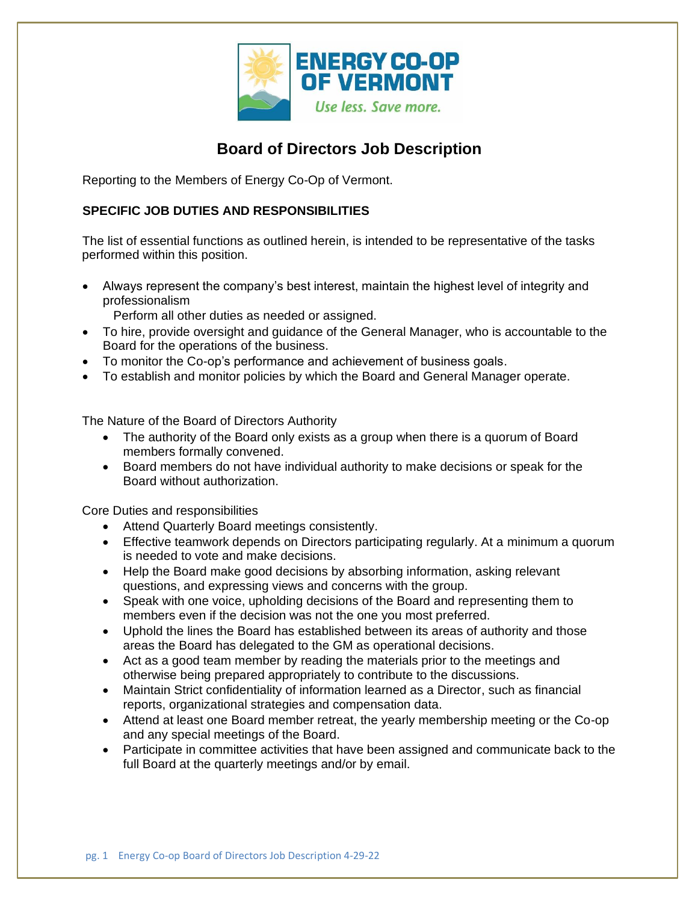

## **Board of Directors Job Description**

Reporting to the Members of Energy Co-Op of Vermont.

## **SPECIFIC JOB DUTIES AND RESPONSIBILITIES**

The list of essential functions as outlined herein, is intended to be representative of the tasks performed within this position.

• Always represent the company's best interest, maintain the highest level of integrity and professionalism

Perform all other duties as needed or assigned.

- To hire, provide oversight and guidance of the General Manager, who is accountable to the Board for the operations of the business.
- To monitor the Co-op's performance and achievement of business goals.
- To establish and monitor policies by which the Board and General Manager operate.

The Nature of the Board of Directors Authority

- The authority of the Board only exists as a group when there is a quorum of Board members formally convened.
- Board members do not have individual authority to make decisions or speak for the Board without authorization.

Core Duties and responsibilities

- Attend Quarterly Board meetings consistently.
- Effective teamwork depends on Directors participating regularly. At a minimum a quorum is needed to vote and make decisions.
- Help the Board make good decisions by absorbing information, asking relevant questions, and expressing views and concerns with the group.
- Speak with one voice, upholding decisions of the Board and representing them to members even if the decision was not the one you most preferred.
- Uphold the lines the Board has established between its areas of authority and those areas the Board has delegated to the GM as operational decisions.
- Act as a good team member by reading the materials prior to the meetings and otherwise being prepared appropriately to contribute to the discussions.
- Maintain Strict confidentiality of information learned as a Director, such as financial reports, organizational strategies and compensation data.
- Attend at least one Board member retreat, the yearly membership meeting or the Co-op and any special meetings of the Board.
- Participate in committee activities that have been assigned and communicate back to the full Board at the quarterly meetings and/or by email.